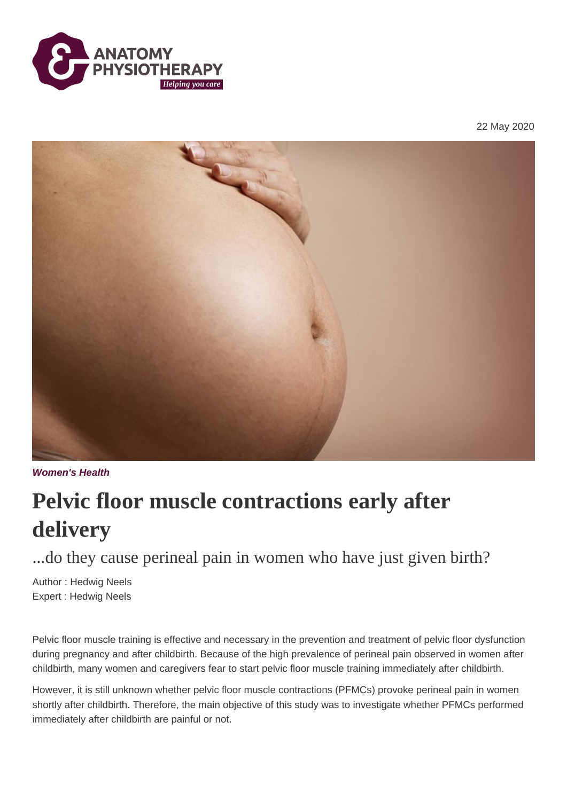

22 May 2020



**Women's Health**

## **Pelvic floor muscle contractions early after delivery**

...do they cause perineal pain in women who have just given birth?

Author : Hedwig Neels Expert : Hedwig Neels

Pelvic floor muscle training is effective and necessary in the prevention and treatment of pelvic floor dysfunction during pregnancy and after childbirth. Because of the high prevalence of perineal pain observed in women after childbirth, many women and caregivers fear to start pelvic floor muscle training immediately after childbirth.

However, it is still unknown whether pelvic floor muscle contractions (PFMCs) provoke perineal pain in women shortly after childbirth. Therefore, the main objective of this study was to investigate whether PFMCs performed immediately after childbirth are painful or not.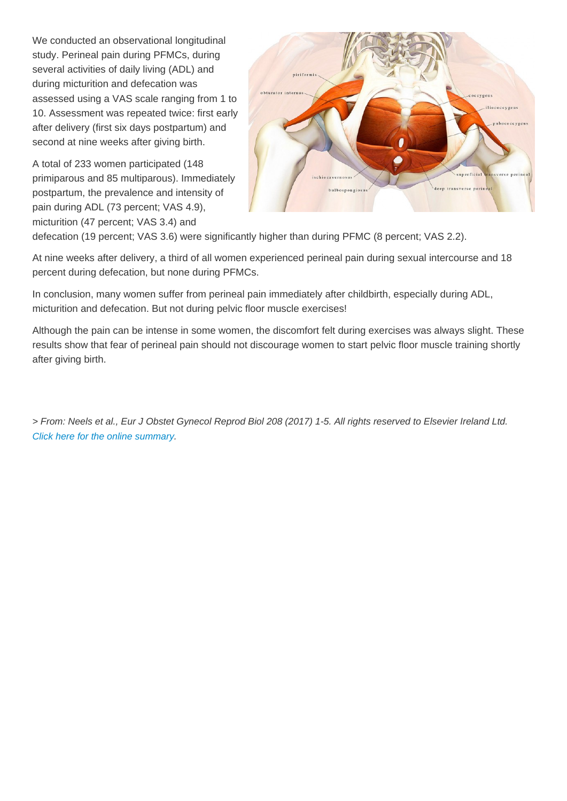We conducted an observational longitudinal study. Perineal pain during PFMCs, during several activities of daily living (ADL) and during micturition and defecation was assessed using a VAS scale ranging from 1 to 10. Assessment was repeated twice: first early after delivery (first six days postpartum) and second at nine weeks after giving birth.

A total of 233 women participated (148 primiparous and 85 multiparous). Immediately postpartum, the prevalence and intensity of pain during ADL (73 percent; VAS 4.9), micturition (47 percent; VAS 3.4) and defecation (19 percent; VAS 3.6) were significantly higher than during PFMC (8 percent; VAS 2.2).

At nine weeks after delivery, a third of all women experienced perineal pain during sexual intercourse and 18 percent during defecation, but none during PFMCs.

In conclusion, many women suffer from perineal pain immediately after childbirth, especially during ADL, micturition and defecation. But not during pelvic floor muscle exercises!

Although the pain can be intense in some women, the discomfort felt during exercises was always slight. These results show that fear of perineal pain should not discourage women to start pelvic floor muscle training shortly after giving birth.

> From: Neels et al., Eur J Obstet Gynecol Reprod Biol 208 (2017) 1-5. All rights reserved to Elsevier Ireland Ltd. [Click here for the online summary.](https://www.ncbi.nlm.nih.gov/pubmed/27875777)